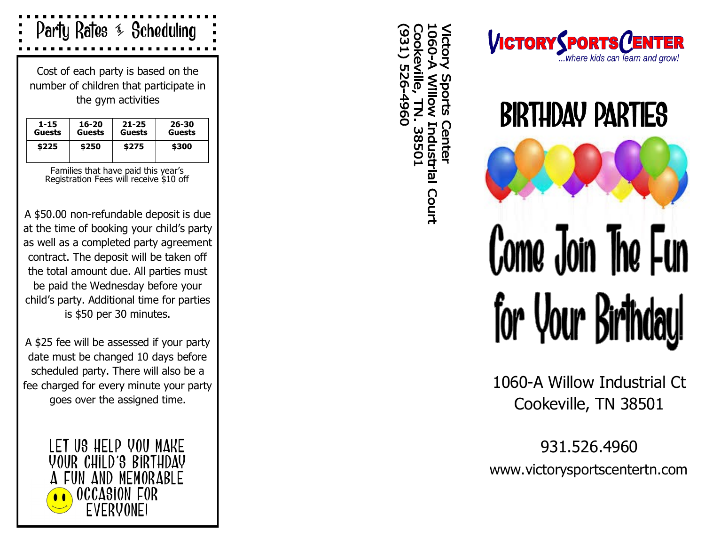

Cost of each party is based on the number of children that participate in the gym activities

| 1-15          | 16-20         | $21 - 25$ | 26-30         |
|---------------|---------------|-----------|---------------|
| <b>Guests</b> | <b>Guests</b> | Guests    | <b>Guests</b> |
| \$225         | \$250         | \$275     | \$300         |

Families that have paid this year 's Registration Fees will receive \$10 off

A \$50.00 non -refundable deposit is due at the time of booking your child 's party as well as a completed party agreement contract. The deposit will be taken off the total amount due. All parties must be paid the Wednesday before your child 's party. Additional time for parties is \$50 per 30 minutes.

A \$25 fee will be assessed if your party date must be changed 10 days before scheduled party. There will also be a fee charged for every minute your party goes over the assigned time.

> LET US HELP YOU MAKE YOUR CHILD 'S BIRTHDAY AND MEMORABLE OCCASION FOR EVERYONE!

Industrial Court Center 38501





1060 -A Willow Industrial Ct Cookeville, TN 38501

931.526.4960 www.victorysportscentertn.com